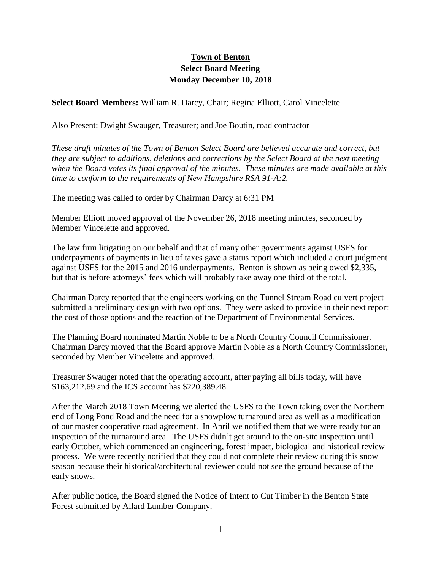## **Town of Benton Select Board Meeting Monday December 10, 2018**

**Select Board Members:** William R. Darcy, Chair; Regina Elliott, Carol Vincelette

Also Present: Dwight Swauger, Treasurer; and Joe Boutin, road contractor

*These draft minutes of the Town of Benton Select Board are believed accurate and correct, but they are subject to additions, deletions and corrections by the Select Board at the next meeting when the Board votes its final approval of the minutes. These minutes are made available at this time to conform to the requirements of New Hampshire RSA 91-A:2.*

The meeting was called to order by Chairman Darcy at 6:31 PM

Member Elliott moved approval of the November 26, 2018 meeting minutes, seconded by Member Vincelette and approved.

The law firm litigating on our behalf and that of many other governments against USFS for underpayments of payments in lieu of taxes gave a status report which included a court judgment against USFS for the 2015 and 2016 underpayments. Benton is shown as being owed \$2,335, but that is before attorneys' fees which will probably take away one third of the total.

Chairman Darcy reported that the engineers working on the Tunnel Stream Road culvert project submitted a preliminary design with two options. They were asked to provide in their next report the cost of those options and the reaction of the Department of Environmental Services.

The Planning Board nominated Martin Noble to be a North Country Council Commissioner. Chairman Darcy moved that the Board approve Martin Noble as a North Country Commissioner, seconded by Member Vincelette and approved.

Treasurer Swauger noted that the operating account, after paying all bills today, will have \$163,212.69 and the ICS account has \$220,389.48.

After the March 2018 Town Meeting we alerted the USFS to the Town taking over the Northern end of Long Pond Road and the need for a snowplow turnaround area as well as a modification of our master cooperative road agreement. In April we notified them that we were ready for an inspection of the turnaround area. The USFS didn't get around to the on-site inspection until early October, which commenced an engineering, forest impact, biological and historical review process. We were recently notified that they could not complete their review during this snow season because their historical/architectural reviewer could not see the ground because of the early snows.

After public notice, the Board signed the Notice of Intent to Cut Timber in the Benton State Forest submitted by Allard Lumber Company.